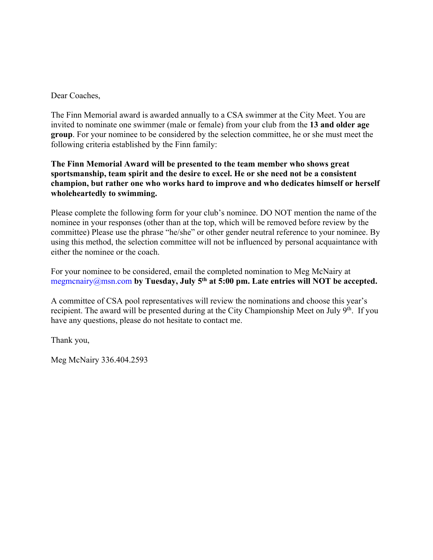Dear Coaches,

The Finn Memorial award is awarded annually to a CSA swimmer at the City Meet. You are invited to nominate one swimmer (male or female) from your club from the **13 and older age group**. For your nominee to be considered by the selection committee, he or she must meet the following criteria established by the Finn family:

## **The Finn Memorial Award will be presented to the team member who shows great sportsmanship, team spirit and the desire to excel. He or she need not be a consistent champion, but rather one who works hard to improve and who dedicates himself or herself wholeheartedly to swimming.**

Please complete the following form for your club's nominee. DO NOT mention the name of the nominee in your responses (other than at the top, which will be removed before review by the committee) Please use the phrase "he/she" or other gender neutral reference to your nominee. By using this method, the selection committee will not be influenced by personal acquaintance with either the nominee or the coach.

For your nominee to be considered, email the completed nomination to Meg McNairy at megmcnairy@msn.com by Tuesday, July 5<sup>th</sup> at 5:00 pm. Late entries will NOT be accepted.

A committee of CSA pool representatives will review the nominations and choose this year's recipient. The award will be presented during at the City Championship Meet on July 9<sup>th</sup>. If you have any questions, please do not hesitate to contact me.

Thank you,

Meg McNairy 336.404.2593